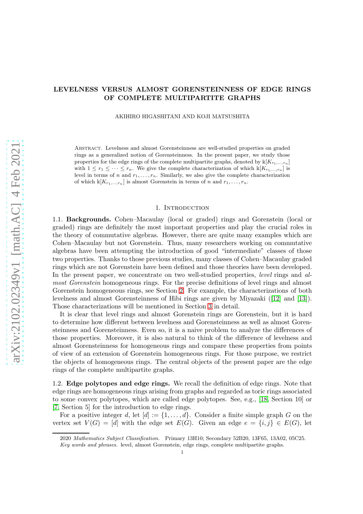# LEVELNESS VERSUS ALMOST GORENSTEINNESS OF EDGE RINGS OF COMPLETE MULTIPARTITE GRAPHS

AKIHIRO HIGASHITANI AND KOJI MATSUSHITA

Abstract. Levelness and almost Gorensteinness are well-studied properties on graded rings as a generalized notion of Gorensteinness. In the present paper, we study those properties for the edge rings of the complete multipartite graphs, denoted by  $\mathbb{K}[K_{r_1,\ldots,r_n}]$ with  $1 \leq r_1 \leq \cdots \leq r_n$ . We give the complete characterization of which  $\mathbb{K}[K_{r_1,\ldots,r_n}]$  is level in terms of n and  $r_1, \ldots, r_n$ . Similarly, we also give the complete characterization of which  $\mathbb{K}[K_{r_1,\ldots,r_n}]$  is almost Gorenstein in terms of n and  $r_1,\ldots,r_n$ .

### 1. INTRODUCTION

1.1. Backgrounds. Cohen–Macaulay (local or graded) rings and Gorenstein (local or graded) rings are definitely the most important properties and play the crucial roles in the theory of commutative algebras. However, there are quite many examples which are Cohen–Macaulay but not Gorenstein. Thus, many researchers working on commutative algebras have been attempting the introduction of good "intermediate" classes of those two properties. Thanks to those previous studies, many classes of Cohen–Macaulay graded rings which are not Gorenstein have been defined and those theories have been developed. In the present paper, we concentrate on two well-studied properties, *level* rings and *almost Gorenstein* homogeneous rings. For the precise definitions of level rings and almost Gorenstein homogeneous rings, see Section [2.](#page-3-0) For example, the characterizations of both levelness and almost Gorensteinness of Hibi rings are given by Miyazaki ([\[12\]](#page-15-0) and [\[13\]](#page-15-1)). Those characterizations will be mentioned in Section [3](#page-4-0) in detail.

It is clear that level rings and almost Gorenstein rings are Gorenstein, but it is hard to determine how different between levelness and Gorensteinness as well as almost Gorensteinness and Gorensteinness. Even so, it is a naive problem to analyze the differences of those properties. Moreover, it is also natural to think of the difference of levelness and almost Gorensteinness for homogeneous rings and compare these properties from points of view of an extension of Gorenstein homogeneous rings. For those purpose, we restrict the objects of homogeneous rings. The central objects of the present paper are the edge rings of the complete multipartite graphs.

1.2. Edge polytopes and edge rings. We recall the definition of edge rings. Note that edge rings are homogeneous rings arising from graphs and regarded as toric rings associated to some convex polytopes, which are called edge polytopes. See, e.g., [\[18,](#page-15-2) Section 10] or [\[7,](#page-15-3) Section 5] for the introduction to edge rings.

For a positive integer d, let  $[d] := \{1, \ldots, d\}$ . Consider a finite simple graph G on the vertex set  $V(G) = [d]$  with the edge set  $E(G)$ . Given an edge  $e = \{i, j\} \in E(G)$ , let

<sup>2020</sup> Mathematics Subject Classification. Primary 13H10; Secondary 52B20, 13F65, 13A02, 05C25. Key words and phrases. level, almost Gorenstein, edge rings, complete multipartite graphs.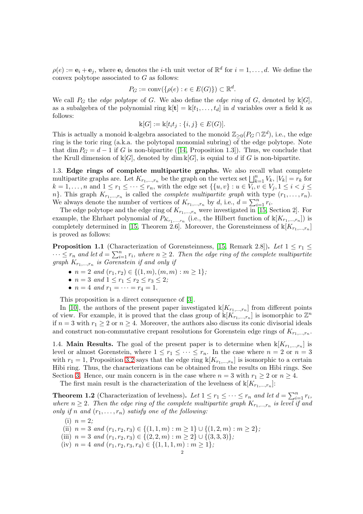$\rho(e) := \mathbf{e}_i + \mathbf{e}_j$ , where  $\mathbf{e}_i$  denotes the *i*-th unit vector of  $\mathbb{R}^d$  for  $i = 1, \dots, d$ . We define the convex polytope associated to G as follows:

$$
P_G := \text{conv}(\{\rho(e) : e \in E(G)\}) \subset \mathbb{R}^d.
$$

We call  $P_G$  the *edge polytope* of G. We also define the *edge ring* of G, denoted by  $\mathbb{k}[G]$ , as a subalgebra of the polynomial ring  $\mathbb{k}[\mathbf{t}] = \mathbb{k}[t_1, \ldots, t_d]$  in d variables over a field k as follows:

$$
\mathbb{k}[G] := \mathbb{k}[t_i t_j : \{i, j\} \in E(G)].
$$

This is actually a monoid k-algebra associated to the monoid  $\mathbb{Z}_{\geq 0}(P_G \cap \mathbb{Z}^d)$ , i.e., the edge ring is the toric ring (a.k.a. the polytopal monomial subring) of the edge polytope. Note that dim  $P_G = d - 1$  if G is non-bipartite ([\[14,](#page-15-4) Proposition 1.3]). Thus, we conclude that the Krull dimension of  $\mathbb{k}[G]$ , denoted by dim  $\mathbb{k}[G]$ , is equial to d if G is non-bipartite.

1.3. Edge rings of complete multipartite graphs. We also recall what complete multipartite graphs are. Let  $K_{r_1,\dots,r_n}$  be the graph on the vertex set  $\bigsqcup_{k=1}^n V_k$ ,  $|V_k| = r_k$  for  $k = 1, \ldots, n$  and  $1 \leq r_1 \leq \cdots \leq r_n$ , with the edge set  $\{\{u, v\} : u \in V_i, v \in V_j, 1 \leq i < j \leq n\}$  $n$ . This graph  $K_{r_1,\dots,r_n}$  is called the *complete multipartite graph* with type  $(r_1,\dots,r_n)$ . We always denote the number of vertices of  $K_{r_1,\dots,r_n}$  by d, i.e.,  $d = \sum_{i=1}^n r_i$ .

The edge polytope and the edge ring of  $K_{r_1,\dots,r_n}$  were investigated in [\[15,](#page-15-5) Section 2]. For example, the Ehrhart polynomial of  $P_{K_{r_1,\dots,r_n}}$  (i.e., the Hilbert function of  $\mathbb{K}[K_{r_1,\dots,r_n}]$ ) is completely determined in [\[15,](#page-15-5) Theorem 2.6]. Moreover, the Gorensteinness of  $\mathbb{K}[K_{r_1,\dots,r_n}]$ is proved as follows:

**Proposition 1.1** (Characterization of Gorensteinness, [\[15,](#page-15-5) Remark 2.8]). Let  $1 \leq r_1 \leq$  $\cdots \leq r_n$  and let  $d = \sum_{i=1}^n r_i$ , where  $n \geq 2$ . Then the edge ring of the complete multipartite  $graph K_{r_1,\dots,r_n}$  *is Gorenstein if and only if* 

- $n = 2$  *and*  $(r_1, r_2) \in \{(1, m), (m, m) : m \ge 1\};$
- $n = 3$  *and*  $1 \le r_1 \le r_2 \le r_3 \le 2$ ;
- $n = 4$  *and*  $r_1 = \cdots = r_4 = 1$ .

This proposition is a direct consequence of [\[3\]](#page-14-0).

In [\[10\]](#page-15-6), the authors of the present paper investigated  $\mathbb{K}[K_{r_1,\dots,r_n}]$  from different points of view. For example, it is proved that the class group of  $\mathbb{k}[K_{r_1,\ldots,r_n}]$  is isomorphic to  $\mathbb{Z}^n$ if  $n = 3$  with  $r_1 \geq 2$  or  $n \geq 4$ . Moreover, the authors also discuss its conic divisorial ideals and construct non-commutative crepant resolutions for Gorenstein edge rings of  $K_{r_1,\dots,r_n}$ .

1.4. **Main Results.** The goal of the present paper is to determine when  $\mathbb{k}[K_{r_1,\dots,r_n}]$  is level or almost Gorenstein, where  $1 \leq r_1 \leq \cdots \leq r_n$ . In the case where  $n = 2$  or  $n = 3$ with  $r_1 = 1$ , Proposition [3.2](#page-4-1) says that the edge ring  $\mathbb{K}[K_{r_1,\dots,r_n}]$  is isomorphic to a certain Hibi ring. Thus, the characterizations can be obtained from the results on Hibi rings. See Section [3.](#page-4-0) Hence, our main concern is in the case where  $n = 3$  with  $r_1 \geq 2$  or  $n \geq 4$ .

The first main result is the characterization of the levelness of  $\mathbb{K}[K_{r_1,\ldots,r_n}]$ :

<span id="page-1-0"></span>**Theorem 1.2** (Characterization of levelness). Let  $1 \leq r_1 \leq \cdots \leq r_n$  and let  $d = \sum_{i=1}^n r_i$ , where  $n \geq 2$ . Then the edge ring of the complete multipartite graph  $K_{r_1,...,r_n}$  is level if and *only if* n and  $(r_1, \ldots, r_n)$  *satisfy one of the following:* 

- (i)  $n = 2$ ;
- (ii)  $n = 3$  *and*  $(r_1, r_2, r_3) \in \{(1, 1, m) : m \ge 1\} \cup \{(1, 2, m) : m \ge 2\};$
- (iii)  $n = 3$  *and*  $(r_1, r_2, r_3) \in \{(2, 2, m) : m \ge 2\} \cup \{(3, 3, 3)\};$
- (iv)  $n = 4$  *and*  $(r_1, r_2, r_3, r_4) \in \{(1, 1, 1, m) : m \ge 1\}$ ;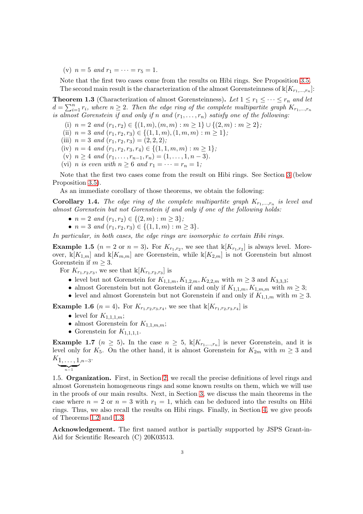(v)  $n = 5$  *and*  $r_1 = \cdots = r_5 = 1$ .

Note that the first two cases come from the results on Hibi rings. See Proposition [3.5.](#page-5-0) The second main result is the characterization of the almost Gorensteinness of  $\mathbb{k}[K_{r_1,\dots,r_n}]$ :

<span id="page-2-0"></span>**Theorem 1.3** (Characterization of almost Gorensteinness). Let  $1 \le r_1 \le \cdots \le r_n$  and let  $d = \sum_{i=1}^n r_i$ , where  $n \geq 2$ . Then the edge ring of the complete multipartite graph  $K_{r_1,...,r_n}$ *is almost Gorenstein if and only if* n and  $(r_1, \ldots, r_n)$  *satisfy one of the following:* 

(i)  $n = 2$  *and*  $(r_1, r_2) \in \{(1, m), (m, m) : m \ge 1\} \cup \{(2, m) : m \ge 2\};$ 

(ii)  $n = 3$  *and*  $(r_1, r_2, r_3) \in \{(1, 1, m), (1, m, m) : m \ge 1\};$ 

(iii)  $n = 3$  *and*  $(r_1, r_2, r_3) = (2, 2, 2)$ ;

- (iv)  $n = 4$  *and*  $(r_1, r_2, r_3, r_4) \in \{(1, 1, m, m) : m \ge 1\};$
- (v)  $n \geq 4$  *and*  $(r_1, \ldots, r_{n-1}, r_n) = (1, \ldots, 1, n-3)$ . (vi) *n* is even with  $n \geq 6$  and  $r_1 = \cdots = r_n = 1$ ;

Note that the first two cases come from the result on Hibi rings. See Section [3](#page-4-0) (below Proposition [3.5\)](#page-5-0).

As an immediate corollary of those theorems, we obtain the following:

**Corollary 1.4.** The edge ring of the complete multipartite graph  $K_{r_1,...,r_n}$  is level and *almost Gorenstein but not Gorenstein if and only if one of the following holds:*

- $n = 2$  *and*  $(r_1, r_2) \in \{(2, m) : m \geq 3\};\$
- $n = 3$  *and*  $(r_1, r_2, r_3) \in \{(1, 1, m) : m \geq 3\}.$

*In particular, in both cases, the edge rings are isomorphic to certain Hibi rings.*

**Example 1.5**  $(n = 2 \text{ or } n = 3)$ . For  $K_{r_1,r_2}$ , we see that  $\mathbb{K}[K_{r_1,r_2}]$  is always level. Moreover,  $\mathbb{k}[K_{1,m}]$  and  $\mathbb{k}[K_{m,m}]$  are Gorenstein, while  $\mathbb{k}[K_{2,m}]$  is not Gorenstein but almost Gorenstein if  $m \geq 3$ .

For  $K_{r_1,r_2,r_3}$ , we see that  $\mathbb{K}[K_{r_1,r_2,r_3}]$  is

- level but not Gorenstein for  $K_{1,1,m}$ ,  $K_{1,2,m}$ ,  $K_{2,2,m}$  with  $m \geq 3$  and  $K_{3,3,3}$ ;
- almost Gorenstein but not Gorenstein if and only if  $K_{1,1,m}, K_{1,m,m}$  with  $m \geq 3$ ;
- level and almost Gorenstein but not Gorenstein if and only if  $K_{1,1,m}$  with  $m \geq 3$ .

**Example 1.6**  $(n = 4)$ . For  $K_{r_1, r_2, r_3, r_4}$ , we see that  $\mathbb{K}[K_{r_1, r_2, r_3, r_4}]$  is

- level for  $K_{1,1,1,m}$ ;
- almost Gorenstein for  $K_{1,1,m,m}$ ;
- Gorenstein for  $K_{1,1,1,1}$ .

**Example 1.7**  $(n \geq 5)$ . In the case  $n \geq 5$ ,  $\mathbb{k}[K_{r_1,\dots,r_n}]$  is never Gorenstein, and it is level only for K<sub>5</sub>. On the other hand, it is almost Gorenstein for  $K_{2m}$  with  $m \geq 3$  and  $K_{1, \ldots, 1, n-3}.$ 

$$
\underbrace{\qquad \qquad }_{n-1}
$$

1.5. Organization. First, in Section [2,](#page-3-0) we recall the precise definitions of level rings and almost Gorenstein homogeneous rings and some known results on them, which we will use in the proofs of our main results. Next, in Section [3,](#page-4-0) we discuss the main theorems in the case where  $n = 2$  or  $n = 3$  with  $r_1 = 1$ , which can be deduced into the results on Hibi rings. Thus, we also recall the results on Hibi rings. Finally, in Section [4,](#page-6-0) we give proofs of Theorems [1.2](#page-1-0) and [1.3.](#page-2-0)

Acknowledgement. The first named author is partially supported by JSPS Grant-in-Aid for Scientific Research (C) 20K03513.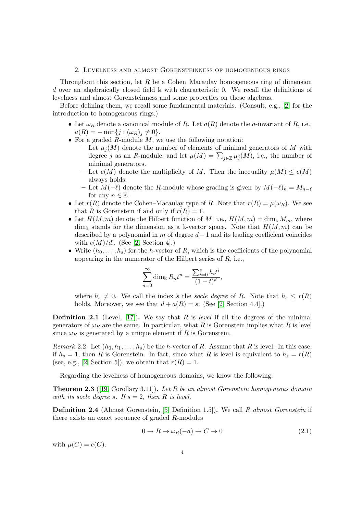## 2. Levelness and almost Gorensteinness of homogeneous rings

<span id="page-3-0"></span>Throughout this section, let  $R$  be a Cohen–Macaulay homogeneous ring of dimension d over an algebraically closed field  $\bf{k}$  with characteristic 0. We recall the definitions of levelness and almost Gorensteinness and some properties on those algebras.

Before defining them, we recall some fundamental materials. (Consult, e.g., [\[2\]](#page-14-1) for the introduction to homogeneous rings.)

- Let  $\omega_R$  denote a canonical module of R. Let  $a(R)$  denote the a-invariant of R, i.e.,  $a(R) = -\min\{j : (\omega_R)_j \neq 0\}.$
- For a graded  $R$ -module  $M$ , we use the following notation:
	- Let  $\mu_i(M)$  denote the number of elements of minimal generators of M with degree j as an R-module, and let  $\mu(M) = \sum_{j \in \mathbb{Z}} \mu_j(M)$ , i.e., the number of minimal generators.
	- Let  $e(M)$  denote the multiplicity of M. Then the inequality  $\mu(M) \leq e(M)$ always holds.
	- Let  $M(-\ell)$  denote the R-module whose grading is given by  $M(-\ell)_n = M_{n-\ell}$ for any  $n \in \mathbb{Z}$ .
- Let  $r(R)$  denote the Cohen–Macaulay type of R. Note that  $r(R) = \mu(\omega_R)$ . We see that R is Gorenstein if and only if  $r(R) = 1$ .
- Let  $H(M,m)$  denote the Hilbert function of M, i.e.,  $H(M,m) = \dim_{\mathbb{k}} M_m$ , where  $\dim_k$  stands for the dimension as a k-vector space. Note that  $H(M, m)$  can be described by a polynomial in  $m$  of degree  $d-1$  and its leading coefficient coincides with  $e(M)/d!$ . (See [\[2,](#page-14-1) Section 4].)
- Write  $(h_0, \ldots, h_s)$  for the *h*-vector of *R*, which is the coefficients of the polynomial appearing in the numerator of the Hilbert series of R, i.e.,

$$
\sum_{n=0}^{\infty} \dim_{\mathbb{k}} R_n t^n = \frac{\sum_{i=0}^{s} h_i t^i}{(1-t)^d},
$$

where  $h_s \neq 0$ . We call the index s the socle degree of R. Note that  $h_s \leq r(R)$ holds. Moreover, we see that  $d + a(R) = s$ . (See [\[2,](#page-14-1) Section 4.4].)

Definition 2.1 (Level, [\[17\]](#page-15-7)). We say that R is *level* if all the degrees of the minimal generators of  $\omega_R$  are the same. In particular, what R is Gorenstein implies what R is level since  $\omega_R$  is generated by a unique element if R is Gorenstein.

<span id="page-3-1"></span>*Remark* 2.2*.* Let  $(h_0, h_1, \ldots, h_s)$  be the *h*-vector of *R*. Assume that *R* is level. In this case, if  $h_s = 1$ , then R is Gorenstein. In fact, since what R is level is equivalent to  $h_s = r(R)$ (see, e.g., [\[2,](#page-14-1) Section 5]), we obtain that  $r(R) = 1$ .

Regarding the levelness of homogeneous domains, we know the following:

<span id="page-3-2"></span>Theorem 2.3 ([\[19,](#page-15-8) Corollary 3.11]). *Let* R *be an almost Gorenstein homogeneous domain with its socle degree s. If*  $s = 2$ *, then* R *is level.* 

Definition 2.4 (Almost Gorenstein, [\[5,](#page-14-2) Definition 1.5]). We call R *almost Gorenstein* if there exists an exact sequence of graded R-modules

<span id="page-3-3"></span>
$$
0 \to R \to \omega_R(-a) \to C \to 0 \tag{2.1}
$$

with  $\mu(C) = e(C)$ .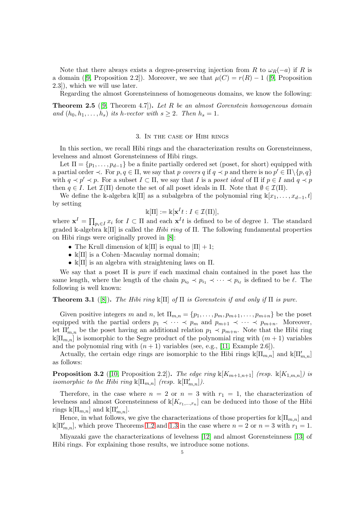Note that there always exists a degree-preserving injection from R to  $\omega_R(-a)$  if R is a domain ([\[9,](#page-15-9) Proposition 2.2]). Moreover, we see that  $\mu(C) = r(R) - 1$  ([9, Proposition 2.3]), which we will use later.

Regarding the almost Gorensteinness of homogeneous domains, we know the following:

<span id="page-4-2"></span>Theorem 2.5 ([\[9,](#page-15-9) Theorem 4.7]). *Let* R *be an almost Gorenstein homogeneous domain and*  $(h_0, h_1, \ldots, h_s)$  *its h*-vector with  $s \geq 2$ *. Then*  $h_s = 1$ *.* 

### 3. In the case of Hibi rings

<span id="page-4-0"></span>In this section, we recall Hibi rings and the characterization results on Gorensteinness, levelness and almost Gorensteinness of Hibi rings.

Let  $\Pi = \{p_1, \ldots, p_{d-1}\}\$  be a finite partially ordered set (poset, for short) equipped with a partial order  $\prec$ . For  $p, q \in \Pi$ , we say that p *covers* q if  $q \prec p$  and there is no  $p' \in \Pi \setminus \{p, q\}$ with  $q \prec p' \prec p$ . For a subset  $I \subset \Pi$ , we say that I is a *poset ideal* of  $\Pi$  if  $p \in I$  and  $q \prec p$ then  $q \in I$ . Let  $\mathcal{I}(\Pi)$  denote the set of all poset ideals in  $\Pi$ . Note that  $\emptyset \in \mathcal{I}(\Pi)$ .

We define the k-algebra k[II] as a subalgebra of the polynomial ring  $k[x_1, \ldots, x_{d-1}, t]$ by setting

$$
\mathbb{k}[\Pi] := \mathbb{k}[\mathbf{x}^I t : I \in \mathcal{I}(\Pi)],
$$

where  $\mathbf{x}^I = \prod_{p_i \in I} x_i$  for  $I \subset \Pi$  and each  $\mathbf{x}^I t$  is defined to be of degree 1. The standard graded k-algebra k[Π] is called the *Hibi ring* of Π. The following fundamental properties on Hibi rings were originally proved in [\[8\]](#page-15-10):

- The Krull dimension of  $\mathbb{k}[\Pi]$  is equal to  $|\Pi|+1$ ;
- $\mathbb{K}[\Pi]$  is a Cohen–Macaulay normal domain;
- $\mathbb{K}[\Pi]$  is an algebra with straightening laws on  $\Pi$ .

We say that a poset Π is *pure* if each maximal chain contained in the poset has the same length, where the length of the chain  $p_{i_0} \prec p_{i_1} \prec \cdots \prec p_{i_\ell}$  is defined to be  $\ell$ . The following is well known:

Theorem 3.1 ([\[8\]](#page-15-10)). *The Hibi ring* k[Π] *of* Π *is Gorenstein if and only if* Π *is pure.*

Given positive integers m and n, let  $\Pi_{m,n} = \{p_1, \ldots, p_m, p_{m+1}, \ldots, p_{m+n}\}\)$  be the poset equipped with the partial orders  $p_1 \prec \cdots \prec p_m$  and  $p_{m+1} \prec \cdots \prec p_{m+n}$ . Moreover, let  $\Pi'_{m,n}$  be the poset having an additional relation  $p_1 \prec p_{m+n}$ . Note that the Hibi ring  $\mathbb{K}[\Pi_{m,n}]$  is isomorphic to the Segre product of the polynomial ring with  $(m+1)$  variables and the polynomial ring with  $(n + 1)$  variables (see, e.g., [\[11,](#page-15-11) Example 2.6]).

Actually, the certain edge rings are isomorphic to the Hibi rings  $\mathbb{K}[\Pi_{m,n}]$  and  $\mathbb{K}[\Pi'_{m,n}]$ as follows:

<span id="page-4-1"></span>**Proposition 3.2** ([\[10,](#page-15-6) Proposition 2.2]). *The edge ring*  $\mathbb{K}[K_{m+1,n+1}]$  *(resp.*  $\mathbb{K}[K_{1,m,n}]$ *) is isomorphic to the Hibi ring*  $\mathbb{K}[\Pi_{m,n}]$  *(resp.*  $\mathbb{K}[\Pi'_{m,n}].$ 

Therefore, in the case where  $n = 2$  or  $n = 3$  with  $r_1 = 1$ , the characterization of levelness and almost Gorensteinness of  $\mathbb{K}[K_{r_1,\dots,r_n}]$  can be deduced into those of the Hibi rings  $\Bbbk[\Pi_{m,n}]$  and  $\Bbbk[\Pi'_{m,n}].$ 

Hence, in what follows, we give the characterizations of those properties for  $\kappa[\Pi_{m,n}]$  and  $\mathbb{k}[\Pi'_{m,n}]$ , which prove Theorems [1.2](#page-1-0) and [1.3](#page-2-0) in the case where  $n = 2$  or  $n = 3$  with  $r_1 = 1$ .

Miyazaki gave the characterizations of levelness [\[12\]](#page-15-0) and almost Gorensteinness [\[13\]](#page-15-1) of Hibi rings. For explaining those results, we introduce some notions.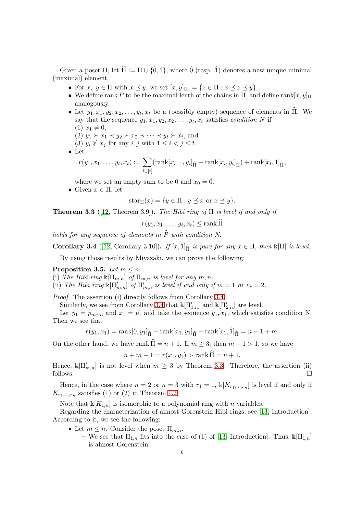Given a poset  $\Pi$ , let  $\hat{\Pi} := \Pi \cup \{\hat{0}, \hat{1}\}$ , where  $\hat{0}$  (resp.  $\hat{1}$ ) denotes a new unique minimal (maximal) element.

- For  $x, y \in \Pi$  with  $x \preceq y$ , we set  $[x, y]_{\Pi} := \{z \in \Pi : x \preceq z \preceq y\}.$
- We define rank P to be the maximal lenth of the chains in  $\Pi$ , and define rank $[x, y]$  $\Pi$ analogously.
- Let  $y_1, x_1, y_2, x_2, \ldots, y_t, x_t$  be a (possibly empty) sequence of elements in  $\Pi$ . We say that the sequence  $y_1, x_1, y_2, x_2, \ldots, y_t, x_t$  satisfies *condition* N if
	- $(1)$   $x_1 \neq 0,$

(2)  $y_1 \succ x_1 \prec y_2 \succ x_2 \prec \cdots \prec y_t \succ x_t$ , and

- (3)  $y_i \not\geq x_j$  for any  $i, j$  with  $1 \leq i < j \leq t$ .
- Let

$$
r(y_1,x_1,\ldots,y_t,x_t):=\sum_{i\in[t]}(\operatorname{rank}[x_{i-1},y_i]_{\widehat{\Pi}}-\operatorname{rank}[x_i,y_i]_{\widehat{\Pi}})+\operatorname{rank}[x_t,\hat{1}]_{\widehat{\Pi}},
$$

where we set an empty sum to be 0 and  $x_0 = 0$ .

• Given  $x \in \Pi$ , let

$$
star_{\Pi}(x) = \{ y \in \Pi : y \preceq x \text{ or } x \preceq y \}.
$$

<span id="page-5-2"></span>Theorem 3.3 ([\[12,](#page-15-0) Theorem 3.9]). *The Hibi ring of* Π *is level if and only if*

$$
r(y_1, x_1, \dots, y_t, x_t) \leq \operatorname{rank} \Pi
$$

*holds for any sequence of elements in*  $\hat{P}$  *with condition N.* 

<span id="page-5-1"></span>**Corollary 3.4** ([\[12,](#page-15-0) Corollary 3.10]). *If*  $[x, \hat{1}]_{\hat{\Pi}}$  *is pure for any*  $x \in \Pi$ *, then* k[ $\Pi$ ] *is level.* 

By using those results by Miyazaki, we can prove the following:

<span id="page-5-0"></span>Proposition 3.5. Let  $m \leq n$ .

(i) The Hibi ring  $\mathbb{K}[\Pi_{m,n}]$  of  $\Pi_{m,n}$  is level for any  $m, n$ .

(ii) The Hibi ring  $\mathbb{K}[\Pi'_{m,n}]$  of  $\Pi'_{m,n}$  is level if and only if  $m = 1$  or  $m = 2$ .

*Proof.* The assertion (i) directly follows from Corollary [3.4.](#page-5-1)

Similarly, we see from Corollary [3.4](#page-5-1) that  $\mathbb{k}[\Pi'_{1,n}]$  and  $\mathbb{k}[\Pi'_{2,n}]$  are level.

Let  $y_1 = p_{m+n}$  and  $x_1 = p_1$  and take the sequence  $y_1, x_1$ , which satisfies condition N. Then we see that

$$
r(y_1, x_1) = \text{rank}[\hat{0}, y_1]_{\hat{\Pi}} - \text{rank}[x_1, y_1]_{\hat{\Pi}} + \text{rank}[x_1, \hat{1}]_{\hat{\Pi}} = n - 1 + m.
$$

On the other hand, we have rank  $\hat{\Pi} = n + 1$ . If  $m \geq 3$ , then  $m - 1 > 1$ , so we have

$$
n + m - 1 = r(x_1, y_1) > \text{rank } \Pi = n + 1.
$$

Hence,  $\mathbb{k}[\Pi'_{m,n}]$  is not level when  $m \geq 3$  by Theorem [3.3.](#page-5-2) Therefore, the assertion (ii) follows.  $\square$ 

Hence, in the case where  $n = 2$  or  $n = 3$  with  $r_1 = 1$ ,  $\mathbb{k}[K_{r_1,\dots,r_n}]$  is level if and only if  $K_{r_1,\dots,r_n}$  satisfies (1) or (2) in Theorem [1.2.](#page-1-0)

Note that  $\mathbb{K}[K_{1,n}]$  is isomorphic to a polynomial ring with *n* variables.

Regarding the characterization of almost Gorenstein Hibi rings, see [\[13,](#page-15-1) Introduction]. According to it, we see the following:

- Let  $m \leq n$ . Consider the poset  $\Pi_{m,n}$ .
	- We see that  $\Pi_{1,n}$  fits into the case of (1) of [\[13,](#page-15-1) Introduction]. Thus,  $\mathbb{K}[\Pi_{1,n}]$ is almost Gorenstein.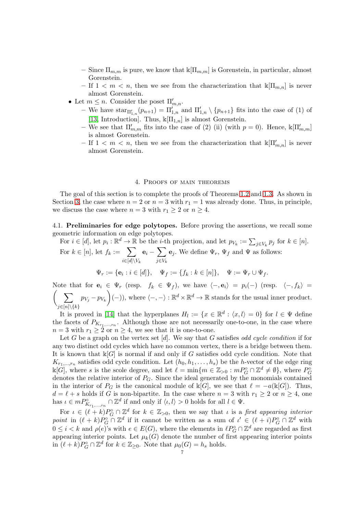- Since  $\Pi_{m,m}$  is pure, we know that  $\kappa[\Pi_{m,m}]$  is Gorenstein, in particular, almost Gorenstein.
- If  $1 < m < n$ , then we see from the characterization that  $\kappa[\Pi_{m,n}]$  is never almost Gorenstein.
- Let  $m \leq n$ . Consider the poset  $\Pi'_{m,n}$ .
	- We have  $\text{star}_{\Pi'_{1,n}}(p_{n+1}) = \Pi'_{1,n}$  and  $\Pi'_{1,n} \setminus \{p_{n+1}\}\$  fits into the case of (1) of [\[13,](#page-15-1) Introduction]. Thus,  $\mathbb{K}[\Pi_{1,n}]$  is almost Gorenstein.
	- We see that  $\Pi'_{m,m}$  fits into the case of (2) (ii) (with  $p=0$ ). Hence,  $\mathbb{K}[\Pi'_{m,m}]$ is almost Gorenstein.
	- If  $1 < m < n$ , then we see from the characterization that  $\mathbb{K}[\Pi'_{m,n}]$  is never almost Gorenstein.

## 4. Proofs of main theorems

<span id="page-6-0"></span>The goal of this section is to complete the proofs of Theorems [1.2](#page-1-0) and [1.3.](#page-2-0) As shown in Section [3,](#page-4-0) the case where  $n = 2$  or  $n = 3$  with  $r_1 = 1$  was already done. Thus, in principle, we discuss the case where  $n = 3$  with  $r_1 \geq 2$  or  $n \geq 4$ .

4.1. Preliminaries for edge polytopes. Before proving the assertions, we recall some geometric information on edge polytopes.

For  $i \in [d]$ , let  $p_i : \mathbb{R}^d \to \mathbb{R}$  be the *i*-th projection, and let  $p_{V_k} := \sum_{j \in V_k} p_j$  for  $k \in [n]$ . For  $k \in [n]$ , let  $f_k := \sum$  $i\in [d]\backslash V_k$  ${\mathbf e}_i - \sum$  $j\in V_k$  $\mathbf{e}_j$ . We define  $\Psi_r$ ,  $\Psi_f$  and  $\Psi$  as follows:  $\Psi_r := \{ \mathbf{e}_i : i \in [d] \}, \quad \Psi_f := \{ f_k : k \in [n] \}, \quad \Psi := \Psi_r \cup \Psi_f.$ 

Note that for  $\mathbf{e}_i \in \Psi_r$  (resp.  $f_k \in \Psi_f$ ), we have  $\langle -, \mathbf{e}_i \rangle = p_i(-)$  (resp.  $\langle -, f_k \rangle =$ <br>  $\left(\sum_{p \leq i \leq n} p_{i,j} - p_{i,j} \right) (-1)$  where  $\langle -, \neg \rangle \cdot \mathbb{R}^d \times \mathbb{R}^d \to \mathbb{R}$  stands for the usual inner product  $j\in[n]\backslash\{k\}$  $p_{V_j} - p_{V_k}$  $\overline{ }$  $(-)$ ), where  $\langle -, - \rangle : \mathbb{R}^d \times \mathbb{R}^d \to \mathbb{R}$  stands for the usual inner product.

It is proved in [\[14\]](#page-15-4) that the hyperplanes  $H_l := \{x \in \mathbb{R}^d : \langle x, l \rangle = 0\}$  for  $l \in \Psi$  define the facets of  $P_{K_{r_1,\ldots,r_n}}$ . Although those are not necessarily one-to-one, in the case where  $n = 3$  with  $r_1 \geq 2$  or  $n \geq 4$ , we see that it is one-to-one.

Let G be a graph on the vertex set [d]. We say that G satisfies *odd cycle condition* if for any two distinct odd cycles which have no common vertex, there is a bridge between them. It is known that  $\mathbb{K}[G]$  is normal if and only if G satisfies odd cycle condition. Note that  $K_{r_1,\dots,r_n}$  satisfies odd cycle condition. Let  $(h_0, h_1, \dots, h_s)$  be the h-vector of the edge ring  $\Bbbk[G]$ , where s is the scole degree, and let  $\ell = \min\{m \in \mathbb{Z}_{>0} : mP^{\circ}_G \cap \mathbb{Z}^d \neq \emptyset\}$ , where  $P^{\circ}_G$ denotes the relative interior of  $P_G$ . Since the ideal generated by the monomials contained in the interior of  $P_G$  is the canonical module of  $\mathbb{k}[G]$ , we see that  $\ell = -a(\mathbb{k}[G])$ . Thus,  $d = \ell + s$  holds if G is non-bipartite. In the case where  $n = 3$  with  $r_1 \geq 2$  or  $n \geq 4$ , one has  $\iota \in mP^{\circ}_{K_{r_1,\dots,r_n}} \cap \mathbb{Z}^d$  if and only if  $\langle \iota, l \rangle > 0$  holds for all  $l \in \Psi$ .

For  $\iota \in (\ell + k)P_G^{\circ} \cap \mathbb{Z}^d$  for  $k \in \mathbb{Z}_{>0}$ , then we say that  $\iota$  is a *first appearing interior* point in  $(\ell + k)P_G^{\circ} \cap \mathbb{Z}^d$  if it cannot be written as a sum of  $\iota' \in (\ell + i)P_G^{\circ} \cap \mathbb{Z}^d$  with  $0 \leq i < k$  and  $\rho(e)$ 's with  $e \in E(G)$ , where the elements in  $\ell P_G^{\circ} \cap \mathbb{Z}^d$  are regarded as first appearing interior points. Let  $\mu_k(G)$  denote the number of first appearing interior points in  $(\ell + k)P_G^{\circ} \cap \mathbb{Z}^d$  for  $k \in \mathbb{Z}_{\geq 0}$ . Note that  $\mu_0(G) = h_s$  holds.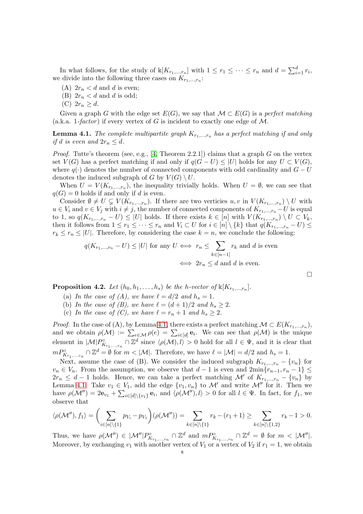In what follows, for the study of  $\mathbb{K}[K_{r_1,\ldots,r_n}]$  with  $1 \leq r_1 \leq \cdots \leq r_n$  and  $d = \sum_{i=1}^d r_i$ , we divide into the following three cases on  $K_{r_1,\ldots,r_n}$ :

- (A)  $2r_n < d$  and d is even;
- (B)  $2r_n < d$  and d is odd;
- (C)  $2r_n > d$ .

Given a graph G with the edge set  $E(G)$ , we say that  $\mathcal{M} \subset E(G)$  is a *perfect matching* (a.k.a. 1*-factor* ) if every vertex of G is incident to exactly one edge of M.

<span id="page-7-0"></span>**Lemma 4.1.** The complete multipartite graph  $K_{r_1,\,\dots,r_n}$  has a perfect matching if and only *if* d *is even and*  $2r_n \leq d$ .

*Proof.* Tutte's theorem (see, e.g., [\[4,](#page-14-3) Theorem 2.2.1]) claims that a graph G on the vertex set  $V(G)$  has a perfect matching if and only if  $q(G-U) \leq |U|$  holds for any  $U \subset V(G)$ , where  $q(.)$  denotes the number of connected components with odd cardinality and  $G - U$ denotes the induced subgraph of G by  $V(G) \setminus U$ .

When  $U = V(K_{r_1,\dots,r_n})$ , the inequality trivially holds. When  $U = \emptyset$ , we can see that  $q(G) = 0$  holds if and only if d is even.

Consider  $\emptyset \neq U \subsetneq V(K_{r_1,\dots,r_n})$ . If there are two verticies  $u, v$  in  $V(K_{r_1,\dots,r_n}) \setminus U$  with  $u \in V_i$  and  $v \in V_j$  with  $i \neq j$ , the number of connected components of  $K_{r_1,...,r_n} - U$  is equal to 1, so  $q(K_{r_1,\dots,r_n}-U) \leq |U|$  holds. If there exists  $k \in [n]$  with  $V(K_{r_1,\dots,r_n}) \setminus U \subset V_k$ , then it follows from  $1 \leq r_1 \leq \cdots \leq r_n$  and  $V_i \subset U$  for  $i \in [n] \setminus \{k\}$  that  $q(K_{r_1,\ldots,r_n} - U) \leq$  $r_k \leq r_n \leq |U|$ . Therefore, by considering the case  $k = n$ , we conclude the following:

$$
q(K_{r_1,\dots,r_n} - U) \le |U|
$$
 for any  $U \iff r_n \le \sum_{k \in [n-1]} r_k$  and d is even  
 $\iff 2r_n \le d$  and d is even.

 $\Box$ 

<span id="page-7-1"></span>**Proposition 4.2.** Let  $(h_0, h_1, \ldots, h_s)$  be the h-vector of  $\mathbb{K}[K_{r_1,\ldots,r_n}]$ .

- (a) In the case of (A), we have  $\ell = d/2$  and  $h_s = 1$ .
- (b) In the case of (B), we have  $\ell = (d+1)/2$  and  $h_s \geq 2$ .
- (c) In the case of (C), we have  $\ell = r_n + 1$  and  $h_s \geq 2$ .

*Proof.* In the case of (A), by Lemma [4.1,](#page-7-0) there exists a perfect matching  $\mathcal{M} \subset E(K_{r_1,\dots,r_n})$ , and we obtain  $\rho(\mathcal{M}) := \sum_{e \in \mathcal{M}} \rho(e) = \sum_{i \in [d]} \mathbf{e}_i$ . We can see that  $\rho(\mathcal{M})$  is the unique element in  $|\mathcal{M}| P^{\circ}_{K_{r_1,\dots,r_n}} \cap \mathbb{Z}^d$  since  $\langle \rho(\mathcal{M}), l \rangle > 0$  hold for all  $l \in \Psi$ , and it is clear that  $m P^{\circ}_{K_{r_1,\dots,r_n}} \cap \mathbb{Z}^d = \emptyset$  for  $m < |\mathcal{M}|$ . Therefore, we have  $\ell = |\mathcal{M}| = d/2$  and  $h_s = 1$ .

Next, assume the case of (B). We consider the induced subgraph  $K_{r_1,\dots,r_n} - \{v_n\}$  for  $v_n \in V_n$ . From the assumption, we observe that  $d-1$  is even and  $2\min\{r_{n-1}, r_n-1\} \leq$  $2r_n \leq d-1$  holds. Hence, we can take a perfect matching M' of  $K_{r_1,\dots,r_n} - \{v_n\}$  by Lemma [4.1.](#page-7-0) Take  $v_1 \in V_1$ , add the edge  $\{v_1, v_n\}$  to  $\mathcal{M}'$  and write  $\mathcal{M}''$  for it. Then we have  $\rho(\mathcal{M}'') = 2\mathbf{e}_{v_1} + \sum_{i \in [d] \setminus \{v_1\}} \mathbf{e}_i$ , and  $\langle \rho(\mathcal{M}'')_i, l \rangle > 0$  for all  $l \in \Psi$ . In fact, for  $f_1$ , we observe that

$$
\langle \rho(\mathcal{M}''), f_1 \rangle = \bigg(\sum_{i \in [n] \setminus \{1\}} p_{V_i} - p_{V_1}\bigg)(\rho(\mathcal{M}'')) = \sum_{k \in [n] \setminus \{1\}} r_k - (r_1 + 1) \ge \sum_{k \in [n] \setminus \{1,2\}} r_k - 1 > 0.
$$

Thus, we have  $\rho(\mathcal{M}'') \in |\mathcal{M}''| P^{\circ}_{K_{r_1,\dots,r_n}} \cap \mathbb{Z}^d$  and  $m P^{\circ}_{K_{r_1,\dots,r_n}} \cap \mathbb{Z}^d = \emptyset$  for  $m < |\mathcal{M}''|$ . Moreover, by exchanging  $v_1$  with another vertex of  $V_1$  or a vertex of  $V_2$  if  $r_1 = 1$ , we obtain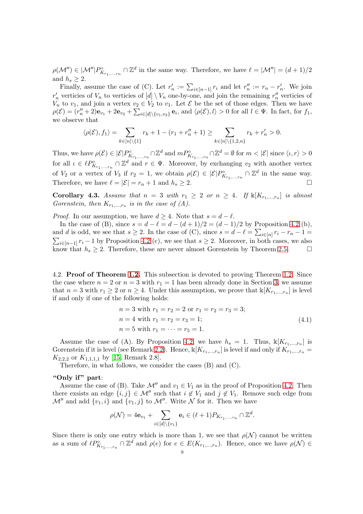$\rho(\mathcal{M}'') \in |\mathcal{M}''| P^{\circ}_{K_{r_1,\dots,r_n}} \cap \mathbb{Z}^d$  in the same way. Therefore, we have  $\ell = |\mathcal{M}''| = (d+1)/2$ and  $h_s \geq 2$ .

Finally, assume the case of (C). Let  $r'_n := \sum_{i \in [n-1]} r_i$  and let  $r''_n := r_n - r'_n$ . We join  $r'_n$  verticies of  $V_n$  to verticies of  $[d] \setminus V_n$  one-by-one, and join the remaining  $r''_n$  verticies of  $V_n$  to  $v_1$ , and join a vertex  $v_2 \in V_2$  to  $v_1$ . Let  $\mathcal E$  be the set of those edges. Then we have  $\rho(\mathcal{E}) = (r''_n + 2)\mathbf{e}_{v_1} + 2\mathbf{e}_{v_2} + \sum_{i \in [d] \setminus \{v_1, v_2\}} \mathbf{e}_i$ , and  $\langle \rho(\mathcal{E}), l \rangle > 0$  for all  $l \in \Psi$ . In fact, for  $f_1$ , we observe that

$$
\langle \rho(\mathcal{E}), f_1 \rangle = \sum_{k \in [n] \setminus \{1\}} r_k + 1 - (r_1 + r_n'' + 1) \ge \sum_{k \in [n] \setminus \{1, 2, n\}} r_k + r_n' > 0.
$$

Thus, we have  $\rho(\mathcal{E}) \in |\mathcal{E}| P^{\circ}_{K_{r_1,\dots,r_n}} \cap \mathbb{Z}^d$  and  $m P^{\circ}_{K_{r_1,\dots,r_n}} \cap \mathbb{Z}^d = \emptyset$  for  $m < |\mathcal{E}|$  since  $\langle \iota, r \rangle > 0$ for all  $\iota \in \ell P^{\circ}_{K_{r_1,\dots,r_n}} \cap \mathbb{Z}^d$  and  $r \in \Psi$ . Moreover, by exchanging  $v_2$  with another vertex of  $V_2$  or a vertex of  $V_3$  if  $r_2 = 1$ , we obtain  $\rho(\mathcal{E}) \in |\mathcal{E}| P^{\circ}_{K_{r_1,\dots,r_n}} \cap \mathbb{Z}^d$  in the same way. Therefore, we have  $\ell = |\mathcal{E}| = r_n + 1$  and  $h_s \geq 2$ .

<span id="page-8-1"></span>**Corollary 4.3.** Assume that  $n = 3$  with  $r_1 \geq 2$  or  $n \geq 4$ . If  $\mathbb{k}[K_{r_1,...,r_n}]$  is almost *Gorenstein, then*  $K_{r_1,\dots,r_n}$  *is in the case of (A).* 

*Proof.* In our assumption, we have  $d \geq 4$ . Note that  $s = d - \ell$ .

In the case of (B), since  $s = d - \ell = d - (d + 1)/2 = (d - 1)/2$  by Proposition [4.2](#page-7-1) (b), and d is odd, we see that  $s \geq 2$ . In the case of (C), since  $s = d - \ell = \sum_{i \in [n]} r_i - r_i - 1 =$  $\sum_{i\in[n-1]} r_i - 1$  by Proposition [4.2](#page-7-1) (c), we see that  $s \geq 2$ . Moreover, in both cases, we also know that  $h_s \geq 2$ . Therefore, these are never almost Gorenstein by Theorem [2.5.](#page-4-2)

4.2. Proof of Theorem [1.2.](#page-1-0) This subsection is devoted to proving Theorem [1.2.](#page-1-0) Since the case where  $n = 2$  or  $n = 3$  with  $r_1 = 1$  has been already done in Section [3,](#page-4-0) we assume that  $n = 3$  with  $r_1 \geq 2$  or  $n \geq 4$ . Under this assumption, we prove that  $\mathbb{K}[K_{r_1,\dots,r_n}]$  is level if and only if one of the following holds:

$$
n = 3 \text{ with } r_1 = r_2 = 2 \text{ or } r_1 = r_2 = r_3 = 3;
$$
  
\n
$$
n = 4 \text{ with } r_1 = r_2 = r_3 = 1;
$$
  
\n
$$
n = 5 \text{ with } r_1 = \dots = r_5 = 1.
$$
  
\n(4.1)

<span id="page-8-0"></span>Assume the case of (A). By Proposition [4.2,](#page-7-1) we have  $h_s = 1$ . Thus,  $\mathbb{K}[K_{r_1,\dots,r_n}]$  is Gorenstein if it is level (see Remark [2.2\)](#page-3-1). Hence,  $\mathbb{K}[K_{r_1,\dots,r_n}]$  is level if and only if  $K_{r_1,\dots,r_n} =$  $K_{2,2,2}$  or  $K_{1,1,1,1}$  by [\[15,](#page-15-5) Remark 2.8].

Therefore, in what follows, we consider the cases (B) and (C).

# "Only if" part:

Assume the case of (B). Take  $\mathcal{M}''$  and  $v_1 \in V_1$  as in the proof of Proposition [4.2.](#page-7-1) Then there exsists an edge  $\{i, j\} \in \mathcal{M}''$  such that  $i \notin V_1$  and  $j \notin V_1$ . Remove such edge from  $\mathcal{M}''$  and add  $\{v_1, i\}$  and  $\{v_1, j\}$  to  $\mathcal{M}''$ . Write  $\mathcal N$  for it. Then we have

$$
\rho(\mathcal{N}) = 4\mathbf{e}_{v_1} + \sum_{i \in [d] \setminus \{v_1\}} \mathbf{e}_i \in (\ell+1)P_{K_{r_1,\dots,r_n}} \cap \mathbb{Z}^d.
$$

Since there is only one entry which is more than 1, we see that  $\rho(\mathcal{N})$  cannot be written as a sum of  $\ell P^{\circ}_{K_{r_1,\dots,r_n}} \cap \mathbb{Z}^d$  and  $\rho(e)$  for  $e \in E(K_{r_1,\dots,r_n})$ . Hence, once we have  $\rho(\mathcal{N}) \in$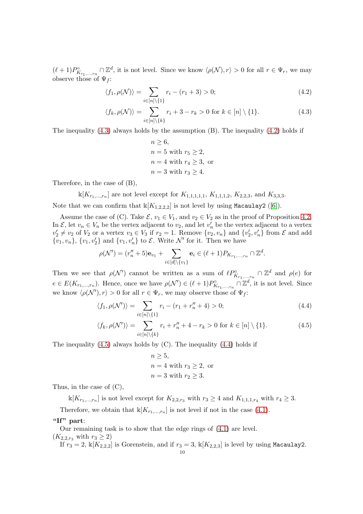$(\ell+1)P^{\circ}_{K_{r_1,\ldots,r_n}} \cap \mathbb{Z}^d$ , it is not level. Since we know  $\langle \rho(\mathcal{N}), r \rangle > 0$  for all  $r \in \Psi_r$ , we may observe those of  $\Psi_f$ :

$$
\langle f_1, \rho(\mathcal{N}) \rangle = \sum_{i \in [n] \setminus \{1\}} r_i - (r_1 + 3) > 0; \tag{4.2}
$$

$$
\langle f_k, \rho(\mathcal{N}) \rangle = \sum_{i \in [n] \setminus \{k\}} r_i + 3 - r_k > 0 \text{ for } k \in [n] \setminus \{1\}. \tag{4.3}
$$

The inequality  $(4.3)$  always holds by the assumption  $(B)$ . The inequality  $(4.2)$  holds if

<span id="page-9-1"></span><span id="page-9-0"></span>
$$
n \ge 6,
$$
  
\n
$$
n = 5 \text{ with } r_5 \ge 2,
$$
  
\n
$$
n = 4 \text{ with } r_4 \ge 3, \text{ or}
$$
  
\n
$$
n = 3 \text{ with } r_3 \ge 4.
$$

Therefore, in the case of (B),

 $\mathbb{K}[K_{r_1,\dots,r_n}]$  are not level except for  $K_{1,1,1,1,1}$ ,  $K_{1,1,1,2}$ ,  $K_{2,2,3}$ , and  $K_{3,3,3}$ .

Note that we can confirm that  $\mathbb{K}[K_{1,2,2,2}]$  is not level by using Macaulay2 ([\[6\]](#page-15-12)).

Assume the case of (C). Take  $\mathcal{E}, v_1 \in V_1$ , and  $v_2 \in V_2$  as in the proof of Proposition [4.2.](#page-7-1) In  $\mathcal{E}$ , let  $v_n \in V_n$  be the vertex adjacent to  $v_2$ , and let  $v'_n$  be the vertex adjacent to a vertex  $v'_2 \neq v_2$  of  $V_2$  or a vertex  $v_3 \in V_3$  if  $r_2 = 1$ . Remove  $\{v_2, v_n\}$  and  $\{v'_2, v'_n\}$  from  $\mathcal E$  and add  $\{v_1, v_n\}$ ,  $\{v_1, v_2'\}$  and  $\{v_1, v_n'\}$  to  $\mathcal{E}$ . Write  $\mathcal{N}'$  for it. Then we have

$$
\rho(\mathcal{N}') = (r''_n + 5)\mathbf{e}_{v_1} + \sum_{i \in [d] \setminus \{v_1\}} \mathbf{e}_i \in (\ell + 1)P_{K_{r_1, \dots, r_n}} \cap \mathbb{Z}^d.
$$

Then we see that  $\rho(\mathcal{N}')$  cannot be written as a sum of  $\ell P^{\circ}_{K_{r_1,\dots,r_n}} \cap \mathbb{Z}^d$  and  $\rho(e)$  for  $e \in E(K_{r_1,\dots,r_n})$ . Hence, once we have  $\rho(\mathcal{N}') \in (\ell+1)P^{\circ}_{K_{r_1,\dots,r_n}} \cap \mathbb{Z}^d$ , it is not level. Since we know  $\langle \rho(\mathcal{N}'), r \rangle > 0$  for all  $r \in \Psi_r$ , we may observe those of  $\Psi_f$ :

$$
\langle f_1, \rho(\mathcal{N}') \rangle = \sum_{i \in [n] \setminus \{1\}} r_i - (r_1 + r_n'' + 4) > 0; \tag{4.4}
$$

$$
\langle f_k, \rho(\mathcal{N}') \rangle = \sum_{i \in [n] \setminus \{k\}} r_i + r_n'' + 4 - r_k > 0 \text{ for } k \in [n] \setminus \{1\}. \tag{4.5}
$$

The inequality  $(4.5)$  always holds by  $(C)$ . The inequality  $(4.4)$  holds if

<span id="page-9-3"></span><span id="page-9-2"></span>
$$
n \ge 5,
$$
  
\n
$$
n = 4
$$
 with  $r_3 \ge 2$ , or  
\n
$$
n = 3
$$
 with  $r_2 \ge 3$ .

Thus, in the case of (C),

 $\mathbb{K}[K_{r_1,\dots,r_n}]$  is not level except for  $K_{2,2,r_3}$  with  $r_3 \geq 4$  and  $K_{1,1,1,r_4}$  with  $r_4 \geq 3$ .

Therefore, we obtain that  $\mathbb{K}[K_{r_1,\dots,r_n}]$  is not level if not in the case [\(4.1\)](#page-8-0).

# "If" part:

Our remaining task is to show that the edge rings of [\(4.1\)](#page-8-0) are level.

 $(K_{2,2,r_3} \text{ with } r_3 \geq 2)$ 

If  $r_3 = 2$ ,  $\mathbb{K}[K_{2,2,2}]$  is Gorenstein, and if  $r_3 = 3$ ,  $\mathbb{K}[K_{2,2,3}]$  is level by using Macaulay2.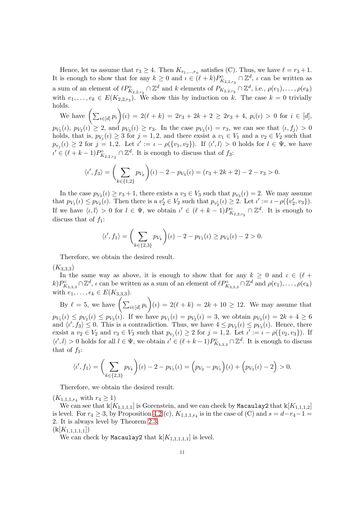Hence, let us assume that  $r_3 \geq 4$ . Then  $K_{r_1,\dots,r_n}$  satisfies (C). Thus, we have  $\ell = r_3 + 1$ . It is enough to show that for any  $k \geq 0$  and  $\iota \in (\ell + k)P^{\circ}_{K_{2,2,r_3}} \cap \mathbb{Z}^d$ ,  $\iota$  can be written as a sum of an element of  $\ell P^{\circ}_{K_{2,2,r_3}} \cap \mathbb{Z}^d$  and k elements of  $P_{K_{2,2,r_3}} \cap \mathbb{Z}^d$ , i.e.,  $\rho(e_1), \ldots, \rho(e_k)$ with  $e_1, \ldots, e_k \in E(K_{2,2,r_3})$ . We show this by induction on k. The case  $k = 0$  trivially holds.  $\setminus$ 

We have  $\left( \sum_{i \in [d]} p_i \right)$  $(i) = 2(\ell + k) = 2r_3 + 2k + 2 \geq 2r_3 + 4, p_i(\iota) > 0$  for  $i \in [d],$  $p_{V_1}(\iota), p_{V_2}(\iota) \geq 2$ , and  $p_{V_3}(\iota) \geq r_3$ . In the case  $p_{V_3}(\iota) = r_3$ , we can see that  $\langle \iota, f_j \rangle > 0$ holds, that is,  $p_{V_j}(\iota) \geq 3$  for  $j = 1, 2$ , and there exsist a  $v_1 \in V_1$  and a  $v_2 \in V_2$  such that  $p_{v_j}(\iota) \geq 2$  for  $j = 1, 2$ . Let  $\iota' := \iota - \rho(\{v_1, v_2\})$ . If  $\langle \iota', \iota \rangle > 0$  holds for  $\iota \in \Psi$ , we have  $\iota' \in (\ell + k - 1)P^{\circ}_{K_{2,2,r_3}} \cap \mathbb{Z}^d$ . It is enough to discuss that of  $f_3$ :

$$
\langle \iota', f_3 \rangle = \left( \sum_{k \in \{1, 2\}} p_{V_k} \right) (\iota) - 2 - p_{V_3}(\iota) = (r_3 + 2k + 2) - 2 - r_3 > 0.
$$

In the case  $p_{V_3}(\iota) \ge r_3 + 1$ , there exists a  $v_3 \in V_3$  such that  $p_{v_3}(\iota) = 2$ . We may assume that  $p_{V_1}(\iota) \leq p_{V_2}(\iota)$ . Then there is a  $v_2' \in V_2$  such that  $p_{v_2'}(\iota) \geq 2$ . Let  $\iota' := \iota - \rho(\{v_2', v_3\})$ . If we have  $\langle \iota, l \rangle > 0$  for  $l \in \Psi$ , we obtain  $\iota' \in (\ell + k - 1)P^{\circ}_{K_{2,2,r_3}} \cap \mathbb{Z}^d$ . It is enough to discuss that of  $f_1$ :

$$
\langle \iota', f_1 \rangle = \left( \sum_{k \in \{2,3\}} p_{V_k} \right) (\iota) - 2 - p_{V_1}(\iota) \ge p_{V_3}(\iota) - 2 > 0.
$$

Therefore, we obtain the desired result.

 $(K_{3,3,3})$ 

In the same way as above, it is enough to show that for any  $k \geq 0$  and  $\iota \in (\ell +$  $k)P^{\circ}_{K_{3,3,3}} \cap \mathbb{Z}^d$ ,  $\iota$  can be written as a sum of an element of  $\ell P^{\circ}_{K_{3,3,3}} \cap \mathbb{Z}^d$  and  $\rho(e_1), \ldots, \rho(e_k)$ with  $e_1, \ldots, e_k \in E(K_{3,3,3}).$ 

By  $\ell = 5$ , we have  $\left( \sum_{i \in [d]} p_i \right)$  $\overline{ }$  $(k) = 2(k + k) = 2k + 10 \ge 12$ . We may assume that  $p_{V_1}(\iota) \leq p_{V_2}(\iota) \leq p_{V_3}(\iota)$ . If we have  $p_{V_1}(\iota) = p_{V_2}(\iota) = 3$ , we obtain  $p_{V_3}(\iota) = 2k + 4 \geq 6$ and  $\langle t', f_3 \rangle \leq 0$ . This is a contradiction. Thus, we have  $4 \leq p_{V_2}(\iota) \leq p_{V_3}(\iota)$ . Hence, there exsist a  $v_2 \in V_2$  and  $v_3 \in V_3$  such that  $p_{v_j}(\iota) \geq 2$  for  $j = 1, 2$ . Let  $\iota' := \iota - \rho(\{v_2, v_3\})$ . If  $\langle t', l \rangle > 0$  holds for all  $l \in \Psi$ , we obtain  $t' \in (\ell + k - 1)P_{K_{3,3,3}}^{\circ} \cap \mathbb{Z}^{d}$ . It is enough to discuss that of  $f_1$ :

$$
\langle \iota', f_1 \rangle = \left( \sum_{k \in \{2,3\}} p_{V_k} \right) (\iota) - 2 - p_{V_1}(\iota) = \left( p_{V_2} - p_{V_1} \right) (\iota) + \left( p_{V_3}(\iota) - 2 \right) > 0.
$$

Therefore, we obtain the desired result.

 $(K_{1,1,1,r_4} \text{ with } r_4 \geq 1)$ 

We can see that  $\mathbb{K}[K_{1,1,1,1}]$  is Gorenstein, and we can check by Macaulay2 that  $\mathbb{K}[K_{1,1,1,2}]$ is level. For  $r_4 \geq 3$ , by Proposition [4.2](#page-7-1) (c),  $K_{1,1,1,r_4}$  is in the case of (C) and  $s = d-r_4-1 =$ 2. It is always level by Theorem [2.3.](#page-3-2)

 $(\Bbbk[K_{1,1,1,1,1}])$ 

We can check by Macaulay2 that  $\mathbb{k}[K_{1,1,1,1,1}]$  is level.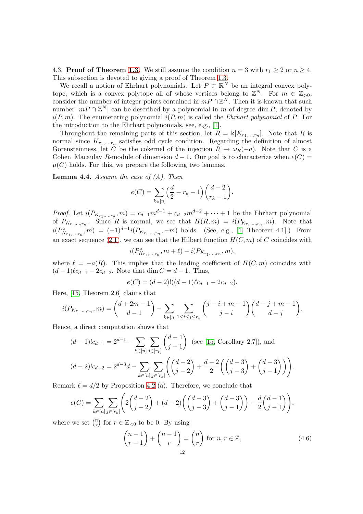4.3. **Proof of Theorem [1.3.](#page-2-0)** We still assume the condition  $n = 3$  with  $r_1 \geq 2$  or  $n \geq 4$ . This subsection is devoted to giving a proof of Theorem [1.3.](#page-2-0)

We recall a notion of Ehrhart polynomials. Let  $P \subset \mathbb{R}^N$  be an integral convex polytope, which is a convex polytope all of whose vertices belong to  $\mathbb{Z}^N$ . For  $m \in \mathbb{Z}_{>0}$ , consider the number of integer points contained in  $mP \cap \mathbb{Z}^N$ . Then it is known that such number  $|mP \cap \mathbb{Z}^N|$  can be described by a polynomial in m of degree dim P, denoted by  $i(P, m)$ . The enumerating polynomial  $i(P, m)$  is called the *Ehrhart polynomial* of P. For the introduction to the Ehrhart polynomials, see, e.g., [\[1\]](#page-14-4).

Throughout the remaining parts of this section, let  $R = \mathbb{k}[K_{r_1,\dots,r_n}]$ . Note that R is normal since  $K_{r_1,\dots,r_n}$  satisfies odd cycle condition. Regarding the definition of almost Gorensteinness, let C be the cokernel of the injection  $R \to \omega_R(-a)$ . Note that C is a Cohen–Macaulay R-module of dimension  $d-1$ . Our goal is to characterize when  $e(C)$  =  $\mu(C)$  holds. For this, we prepare the following two lemmas.

<span id="page-11-1"></span>Lemma 4.4. *Assume the case of (A). Then*

$$
e(C) = \sum_{k \in [n]} \left(\frac{d}{2} - r_k - 1\right) \binom{d-2}{r_k-1}.
$$

*Proof.* Let  $i(P_{K_{r_1,...,r_n}}, m) = c_{d-1}m^{d-1} + c_{d-2}m^{d-2} + \cdots + 1$  be the Ehrhart polynomial of  $P_{K_{r_1,\ldots,r_n}}$ . Since R is normal, we see that  $H(R,m) = i(P_{K_{r_1,\ldots,r_n}},m)$ . Note that  $i(P^{\circ}_{K_{r_1,...,r_n}},m) = (-1)^{d-1} i(P_{K_{r_1,...,r_n}},-m)$  holds. (See, e.g., [\[1,](#page-14-4) Theorem 4.1].) From an exact sequence [\(2.1\)](#page-3-3), we can see that the Hilbert function  $H(C, m)$  of C coincides with

$$
i(P_{K_{r_1,\ldots,r_n}}^\circ,m+\ell)-i(P_{K_{r_1,\ldots,r_n}},m),
$$

where  $\ell = -a(R)$ . This implies that the leading coefficient of  $H(C, m)$  coincides with  $(d-1)\ell c_{d-1} - 2c_{d-2}$ . Note that dim  $C = d - 1$ . Thus,

$$
e(C) = (d-2)!((d-1)\ell c_{d-1} - 2c_{d-2}).
$$

Here, [\[15,](#page-15-5) Theorem 2.6] claims that

$$
i(P_{K_{r_1,\dots,r_n}},m) = {d+2m-1 \choose d-1} - \sum_{k \in [n]} \sum_{1 \le i \le j \le r_k} {j-i+m-1 \choose j-i} {d-j+m-1 \choose d-j}.
$$

Hence, a direct computation shows that

$$
(d-1)!c_{d-1} = 2^{d-1} - \sum_{k \in [n]} \sum_{j \in [r_k]} \binom{d-1}{j-1} \text{ (see [15, Corollary 2.7]), and}
$$

$$
(d-2)!c_{d-2} = 2^{d-3}d - \sum_{k \in [n]} \sum_{j \in [r_k]} \left( \binom{d-2}{j-2} + \frac{d-2}{2} \left( \binom{d-3}{j-3} + \binom{d-3}{j-1} \right) \right).
$$

Remark  $\ell = d/2$  by Proposition [4.2](#page-7-1) (a). Therefore, we conclude that

$$
e(C) = \sum_{k \in [n]} \sum_{j \in [r_k]} \left( 2\binom{d-2}{j-2} + (d-2)\left(\binom{d-3}{j-3} + \binom{d-3}{j-1}\right) - \frac{d}{2}\binom{d-1}{j-1} \right),
$$

where we set  $\binom{n}{r}$  $r \choose r$  for  $r \in \mathbb{Z}_{< 0}$  to be 0. By using

<span id="page-11-0"></span>
$$
\binom{n-1}{r-1} + \binom{n-1}{r} = \binom{n}{r} \text{ for } n, r \in \mathbb{Z},\tag{4.6}
$$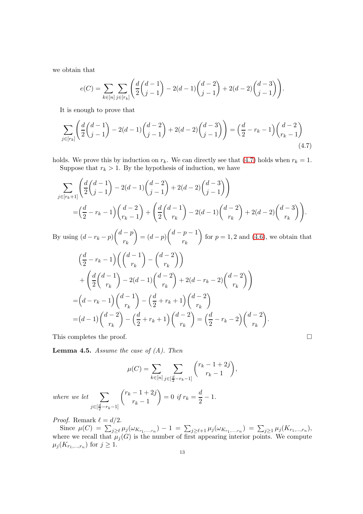we obtain that

<span id="page-12-0"></span>
$$
e(C) = \sum_{k \in [n]} \sum_{j \in [r_k]} \left( \frac{d}{2} \binom{d-1}{j-1} - 2(d-1) \binom{d-2}{j-1} + 2(d-2) \binom{d-3}{j-1} \right).
$$

It is enough to prove that

$$
\sum_{j \in [r_k]} \left( \frac{d}{2} \binom{d-1}{j-1} - 2(d-1) \binom{d-2}{j-1} + 2(d-2) \binom{d-3}{j-1} \right) = \left( \frac{d}{2} - r_k - 1 \right) \binom{d-2}{r_k - 1} \tag{4.7}
$$

holds. We prove this by induction on  $r_k$ . We can directly see that [\(4.7\)](#page-12-0) holds when  $r_k = 1$ . Suppose that  $r_k > 1$ . By the hypothesis of induction, we have

$$
\sum_{j \in [r_k+1]} \left( \frac{d}{2} \binom{d-1}{j-1} - 2(d-1) \binom{d-2}{j-1} + 2(d-2) \binom{d-3}{j-1} \right)
$$
  
= 
$$
\left( \frac{d}{2} - r_k - 1 \right) \binom{d-2}{r_k-1} + \left( \frac{d}{2} \binom{d-1}{r_k} - 2(d-1) \binom{d-2}{r_k} + 2(d-2) \binom{d-3}{r_k} \right).
$$

By using  $(d - r_k - p)$  $\int d-p$  $r_k$  $\setminus$  $= (d - p)$  $\int d-p-1$  $r_k$  $\setminus$ for  $p = 1, 2$  and  $(4.6)$ , we obtain that

$$
\left(\frac{d}{2} - r_k - 1\right) \left( \binom{d-1}{r_k} - \binom{d-2}{r_k} \right) \n+ \left( \frac{d}{2} \binom{d-1}{r_k} - 2(d-1) \binom{d-2}{r_k} + 2(d-r_k-2) \binom{d-2}{r_k} \right) \n= (d - r_k - 1) \binom{d-1}{r_k} - \left( \frac{d}{2} + r_k + 1 \right) \binom{d-2}{r_k} \n= (d-1) \binom{d-2}{r_k} - \left( \frac{d}{2} + r_k + 1 \right) \binom{d-2}{r_k} = \left( \frac{d}{2} - r_k - 2 \right) \binom{d-2}{r_k}.
$$

This completes the proof.  $\Box$ 

<span id="page-12-1"></span>Lemma 4.5. *Assume the case of (A). Then*

$$
\mu(C) = \sum_{k \in [n]} \sum_{j \in [\frac{d}{2} - r_k - 1]} \binom{r_k - 1 + 2j}{r_k - 1},
$$

*where we let*  $\sum$  $j \in [\frac{d}{2} - r_k - 1]$  $\int r_k - 1 + 2j$  $r_k-1$  $\setminus$  $= 0$  *if*  $r_k = \frac{d}{2}$  $\frac{a}{2} - 1.$ 

*Proof.* Remark  $\ell = d/2$ .

Since  $\mu(C) = \sum_{j \ge \ell} \mu_j(\omega_{K_{r_1,\dots,r_n}}) - 1 = \sum_{j \ge \ell+1} \mu_j(\omega_{K_{r_1,\dots,r_n}}) = \sum_{j \ge 1} \mu_j(K_{r_1,\dots,r_n}),$ where we recall that  $\mu_j(G)$  is the number of first appearing interior points. We compute  $\mu_j(K_{r_1,\ldots,r_n})$  for  $j\geq 1$ .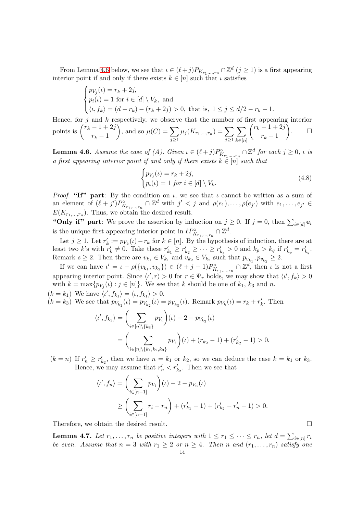From Lemma [4.6](#page-13-0) below, we see that  $\iota \in (\ell + j)P_{K_{r_1,\ldots,r_n}} \cap \mathbb{Z}^d \ (j \geq 1)$  is a first appearing interior point if and only if there exists  $k \in [n]$  such that  $\iota$  satisfies

$$
\begin{cases} p_{V_j}(\iota) = r_k + 2j, \\ p_i(\iota) = 1 \text{ for } i \in [d] \setminus V_k, \text{ and} \\ \langle \iota, f_k \rangle = (d - r_k) - (r_k + 2j) > 0, \text{ that is, } 1 \le j \le d/2 - r_k - 1. \end{cases}
$$

Hence, for  $j$  and  $k$  respectively, we observe that the number of first appearing interior points is  $\int_{0}^{r} r_k - 1 + 2j$  $r_k-1$ ), and so  $\mu(C) = \sum$  $j \geq 1$  $\mu_j(K_{r_1,...,r_n}) = \sum$  $j \geq 1$  $\sum$  $k \in [n]$  $\int r_k - 1 + 2j$  $r_k-1$ Í  $\Box$ 

<span id="page-13-0"></span>**Lemma 4.6.** Assume the case of (A). Given  $\iota \in (\ell + j)P^{\circ}_{K_{r_1,\dots,r_n}} \cap \mathbb{Z}^d$  for each  $j \geq 0$ ,  $\iota$  is *a first appearing interior point if and only if there exists*  $k \in [n]$  *such that* 

$$
\begin{cases} p_{V_j}(\iota) = r_k + 2j, \\ p_i(\iota) = 1 \text{ for } i \in [d] \setminus V_k. \end{cases} \tag{4.8}
$$

*Proof.* "If" part: By the condition on  $\iota$ , we see that  $\iota$  cannot be written as a sum of an element of  $(\ell + j')P^{\circ}_{K_{r_1,\dots,r_n}} \cap \mathbb{Z}^d$  with  $j' < j$  and  $\rho(e_1), \dots, \rho(e_{j'})$  with  $e_1, \dots, e_{j'} \in$  $E(K_{r_1,\ldots,r_n})$ . Thus, we obtain the desired result.

"Only if" part: We prove the assertion by induction on  $j \geq 0$ . If  $j = 0$ , then  $\sum_{i \in [d]} e_i$ is the unique first appearing interior point in  $\ell P^{\circ}_{K_{r_1,\dots,r_n}} \cap \mathbb{Z}^d$ .

Let  $j \geq 1$ . Let  $r'_k := p_{V_k}(\iota) - r_k$  for  $k \in [n]$ . By the hypothesis of induction, there are at least two k's with  $r'_k \neq 0$ . Take these  $r'_{k_1} \geq r'_{k_2} \geq \cdots \geq r'_{k_s} > 0$  and  $k_p > k_q$  if  $r'_{k_p} = r'_{k_q}$ . Remark  $s \geq 2$ . Then there are  $v_{k_1} \in V_{k_1}$  and  $v_{k_2} \in V_{k_2}$  such that  $p_{v_{k_1}}, p_{v_{k_2}} \geq 2$ .

If we can have  $\iota' = \iota - \rho(\{v_{k_1}, v_{k_2}\}) \in (\ell + j - 1)P^{\circ}_{K_{r_1,\dots,r_n}} \cap \mathbb{Z}^d$ , then  $\iota$  is not a first appearing interior point. Since  $\langle u', r \rangle > 0$  for  $r \in \Psi_r$  holds, we may show that  $\langle u', f_k \rangle > 0$ with  $k = \max\{p_{V_j}(t) : j \in [n]\}.$  We see that k should be one of  $k_1$ ,  $k_3$  and n.

 $(k = k_1)$  We have  $\langle \iota', f_{k_1} \rangle = \langle \iota, f_{k_1} \rangle > 0$ .  $(k = k_3)$  We see that  $p_{V_{k_1}}(\iota) = p_{V_{k_2}}(\iota) = p_{V_{k_3}}(\iota)$ . Remark  $p_{V_k}(\iota) = r_k + r'_k$ . Then

$$
\langle \iota', f_{k_3} \rangle = \left( \sum_{i \in [n] \setminus \{k_3\}} p_{V_i} \right) (\iota) - 2 - p_{V_{k_3}}(\iota)
$$
  
= 
$$
\left( \sum_{i \in [n] \setminus \{k_1, k_2, k_3\}} p_{V_i} \right) (\iota) + (r_{k_2} - 1) + (r'_{k_2} - 1) > 0.
$$

 $(k = n)$  If  $r'_n \geq r'_{k_2}$ , then we have  $n = k_1$  or  $k_2$ , so we can deduce the case  $k = k_1$  or  $k_3$ . Hence, we may assume that  $r'_n < r'_{k_2}$ . Then we see that

$$
\langle \iota', f_n \rangle = \left( \sum_{i \in [n-1]} p_{V_i} \right) (\iota) - 2 - p_{V_n}(\iota)
$$
  
 
$$
\ge \left( \sum_{i \in [n-1]} r_i - r_n \right) + \left( r'_{k_1} - 1 \right) + \left( r'_{k_2} - r'_n - 1 \right) > 0.
$$

Therefore, we obtain the desired result.

<span id="page-13-1"></span>**Lemma 4.7.** Let  $r_1, \ldots, r_n$  be positive integers with  $1 \leq r_1 \leq \cdots \leq r_n$ , let  $d = \sum_{i \in [n]} r_i$ *be even.* Assume that  $n = 3$  with  $r_1 \geq 2$  or  $n \geq 4$ . Then n and  $(r_1, \ldots, r_n)$  satisfy one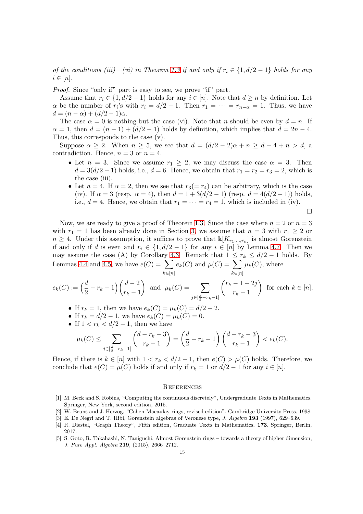*of the conditions (iii)—(vi) in Theorem [1.3](#page-2-0) if and only if*  $r_i \in \{1, d/2 - 1\}$  *holds for any*  $i \in [n]$ .

*Proof.* Since "only if" part is easy to see, we prove "if" part.

Assume that  $r_i \in \{1, d/2 - 1\}$  holds for any  $i \in [n]$ . Note that  $d \geq n$  by definition. Let  $\alpha$  be the number of  $r_i$ 's with  $r_i = d/2 - 1$ . Then  $r_1 = \cdots = r_{n-\alpha} = 1$ . Thus, we have  $d = (n - \alpha) + (d/2 - 1)\alpha.$ 

The case  $\alpha = 0$  is nothing but the case (vi). Note that n should be even by  $d = n$ . If  $\alpha = 1$ , then  $d = (n-1) + (d/2 - 1)$  holds by definition, which implies that  $d = 2n - 4$ . Thus, this corresponds to the case (v).

Suppose  $\alpha \geq 2$ . When  $n \geq 5$ , we see that  $d = (d/2 - 2)\alpha + n \geq d - 4 + n > d$ , a contradiction. Hence,  $n = 3$  or  $n = 4$ .

- Let  $n = 3$ . Since we assume  $r_1 \geq 2$ , we may discuss the case  $\alpha = 3$ . Then  $d = 3(d/2 - 1)$  holds, i.e.,  $d = 6$ . Hence, we obtain that  $r_1 = r_2 = r_3 = 2$ , which is the case (iii).
- Let  $n = 4$ . If  $\alpha = 2$ , then we see that  $r_3(= r_4)$  can be arbitrary, which is the case (iv). If  $\alpha = 3$  (resp.  $\alpha = 4$ ), then  $d = 1 + 3(d/2 - 1)$  (resp.  $d = 4(d/2 - 1)$ ) holds, i.e.,  $d = 4$ . Hence, we obtain that  $r_1 = \cdots = r_4 = 1$ , which is included in (iv).

$$
\qquad \qquad \Box
$$

Now, we are ready to give a proof of Theorem [1.3.](#page-2-0) Since the case where  $n = 2$  or  $n = 3$ with  $r_1 = 1$  has been already done in Section [3,](#page-4-0) we assume that  $n = 3$  with  $r_1 \geq 2$  or  $n \geq 4$ . Under this assumption, it suffices to prove that  $\mathbb{K}[K_{r_1,\dots,r_n}]$  is almost Gorenstein if and only if d is even and  $r_i \in \{1, d/2 - 1\}$  for any  $i \in [n]$  by Lemma [4.7.](#page-13-1) Then we may assume the case (A) by Corollary [4.3.](#page-8-1) Remark that  $1 \leq r_k \leq d/2 - 1$  holds. By Lemmas [4.4](#page-11-1) and [4.5,](#page-12-1) we have  $e(C) = \sum$  $k \in [n]$  $e_k(C)$  and  $\mu(C) = \sum$  $k \in [n]$  $\mu_k(C)$ , where

$$
e_k(C) := \left(\frac{d}{2} - r_k - 1\right) \binom{d-2}{r_k - 1} \text{ and } \mu_k(C) = \sum_{j \in \left[\frac{d}{2} - r_k - 1\right]} \binom{r_k - 1 + 2j}{r_k - 1} \text{ for each } k \in [n].
$$

- If  $r_k = 1$ , then we have  $e_k(C) = \mu_k(C) = d/2 2$ .
- If  $r_k = d/2 1$ , we have  $e_k(C) = \mu_k(C) = 0$ .
- If  $1 < r_k < d/2 1$ , then we have

$$
\mu_k(C) \le \sum_{j \in [\frac{d}{2} - r_k - 1]} \binom{d - r_k - 3}{r_k - 1} = \left(\frac{d}{2} - r_k - 1\right) \binom{d - r_k - 3}{r_k - 1} < e_k(C).
$$

Hence, if there is  $k \in [n]$  with  $1 < r_k < d/2 - 1$ , then  $e(C) > \mu(C)$  holds. Therefore, we conclude that  $e(C) = \mu(C)$  holds if and only if  $r_k = 1$  or  $d/2 - 1$  for any  $i \in [n]$ .

#### **REFERENCES**

- <span id="page-14-4"></span>[1] M. Beck and S. Robins, "Computing the continuous discretely", Undergraduate Texts in Mathematics. Springer, New York, second edition, 2015.
- <span id="page-14-1"></span><span id="page-14-0"></span>[2] W. Bruns and J. Herzog, "Cohen-Macaulay rings, revised edition", Cambridge University Press, 1998.
- <span id="page-14-3"></span>[3] E. De Negri and T. Hibi, Gorenstein algebras of Veronese type, J. Algebra 193 (1997), 629–639.
- [4] R. Diestel, "Graph Theory", Fifth edition, Graduate Texts in Mathematics, 173. Springer, Berlin, 2017.
- <span id="page-14-2"></span>[5] S. Goto, R. Takahashi, N. Taniguchi, Almost Gorenstein rings – towards a theory of higher dimension, J. Pure Appl. Algebra 219, (2015), 2666–2712.